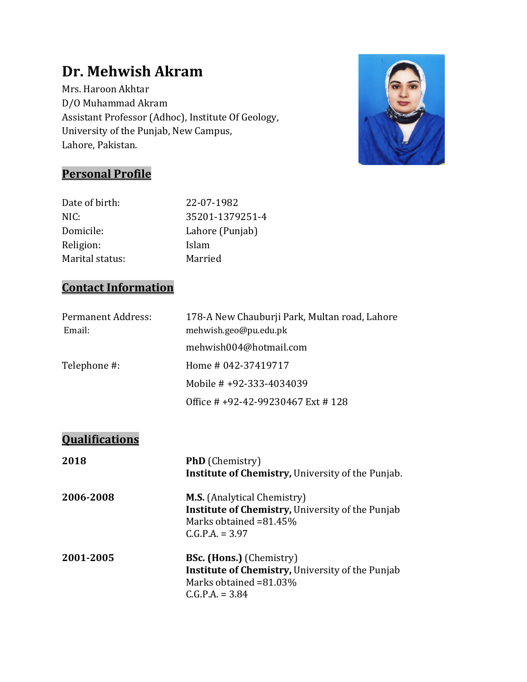# **Dr. Mehwish Akram**

Mrs. Haroon Akhtar D/O Muhammad Akram Assistant Professor (Adhoc), Institute Of Geology, University of the Punjab, New Campus, Lahore, Pakistan.



## **Personal Profile**

| Date of birth:  | 22-07-1982      |
|-----------------|-----------------|
| NIC:            | 35201-1379251-4 |
| Domicile:       | Lahore (Punjab) |
| Religion:       | Islam           |
| Marital status: | Married         |
|                 |                 |

## **Contact Information**

| <b>Permanent Address:</b> | 178-A New Chauburji Park, Multan road, Lahore |
|---------------------------|-----------------------------------------------|
| Email:                    | mehwish.geo@pu.edu.pk                         |
|                           | mehwish004@hotmail.com                        |
| Telephone #:              | Home # 042-37419717                           |
|                           | Mobile # $+92-333-4034039$                    |
|                           | Office # +92-42-99230467 Ext # 128            |

## **Qualifications**

| 2018      | <b>PhD</b> (Chemistry)<br><b>Institute of Chemistry, University of the Punjab.</b>                                                           |
|-----------|----------------------------------------------------------------------------------------------------------------------------------------------|
| 2006-2008 | <b>M.S.</b> (Analytical Chemistry)<br><b>Institute of Chemistry, University of the Punjab</b><br>Marks obtained =81.45%<br>$C.G.P.A. = 3.97$ |
| 2001-2005 | <b>BSc. (Hons.)</b> (Chemistry)<br>Institute of Chemistry, University of the Punjab<br>Marks obtained =81.03%<br>$C.G.P.A. = 3.84$           |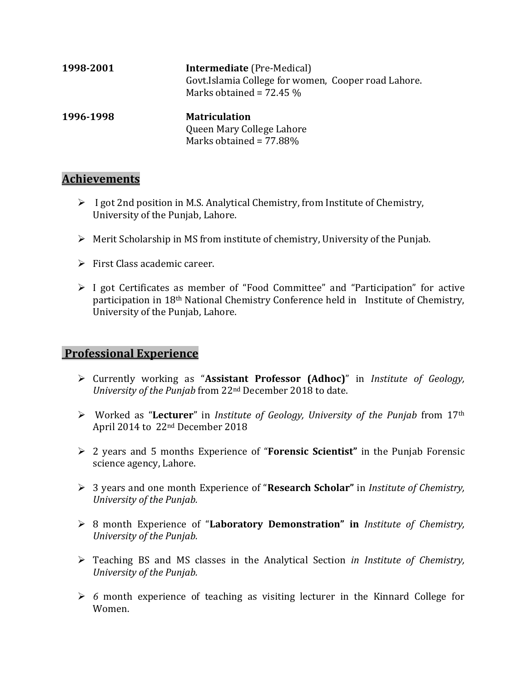| 1998-2001 | <b>Intermediate</b> (Pre-Medical)<br>Govt.Islamia College for women, Cooper road Lahore.<br>Marks obtained = $72.45\%$ |
|-----------|------------------------------------------------------------------------------------------------------------------------|
| 1996-1998 | <b>Matriculation</b><br>Queen Mary College Lahore<br>Marks obtained = 77.88%                                           |

#### **Achievements**

- $\triangleright$  I got 2nd position in M.S. Analytical Chemistry, from Institute of Chemistry, University of the Punjab, Lahore.
- $\triangleright$  Merit Scholarship in MS from institute of chemistry, University of the Punjab.
- $\triangleright$  First Class academic career.
- I got Certificates as member of "Food Committee" and "Participation" for active participation in 18th National Chemistry Conference held in Institute of Chemistry, University of the Punjab, Lahore.

#### **Professional Experience**

- Currently working as "**Assistant Professor (Adhoc)**" in *Institute of Geology, University of the Punjab* from 22nd December 2018 to date.
- Worked as "**Lecturer**" in *Institute of Geology, University of the Punjab* from 17th April 2014 to 22nd December 2018
- 2 years and 5 months Experience of "**Forensic Scientist"** in the Punjab Forensic science agency, Lahore.
- 3 years and one month Experience of "**Research Scholar"** in *Institute of Chemistry, University of the Punjab.*
- 8 month Experience of "**Laboratory Demonstration" in** *Institute of Chemistry, University of the Punjab.*
- Teaching BS and MS classes in the Analytical Section *in Institute of Chemistry, University of the Punjab.*
- *6* month experience of teaching as visiting lecturer in the Kinnard College for Women.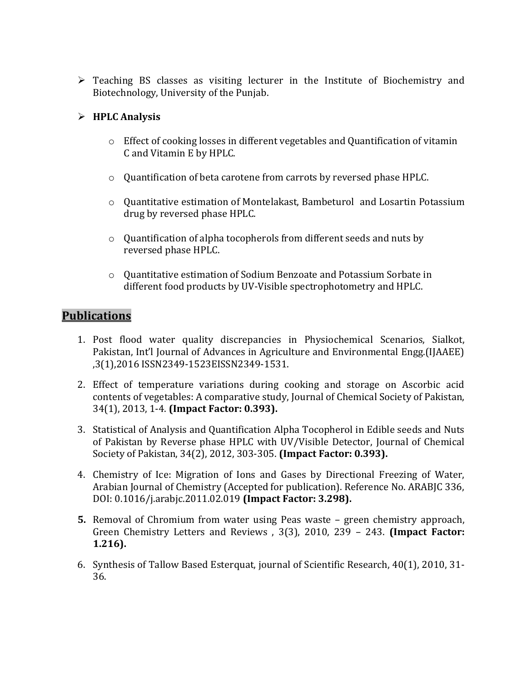Teaching BS classes as visiting lecturer in the Institute of Biochemistry and Biotechnology, University of the Punjab.

#### **HPLC Analysis**

- o Effect of cooking losses in different vegetables and Quantification of vitamin C and Vitamin E by HPLC.
- o Quantification of beta carotene from carrots by reversed phase HPLC.
- o Quantitative estimation of Montelakast, Bambeturol and Losartin Potassium drug by reversed phase HPLC.
- o Quantification of alpha tocopherols from different seeds and nuts by reversed phase HPLC.
- o Quantitative estimation of Sodium Benzoate and Potassium Sorbate in different food products by UV-Visible spectrophotometry and HPLC.

#### **Publications**

- 1. Post flood water quality discrepancies in Physiochemical Scenarios, Sialkot, Pakistan, Int'l Journal of Advances in Agriculture and Environmental Engg.(IJAAEE) ,3(1),2016 ISSN2349-1523EISSN2349-1531.
- 2. Effect of temperature variations during cooking and storage on Ascorbic acid contents of vegetables: A comparative study, Journal of Chemical Society of Pakistan, 34(1), 2013, 1-4. **(Impact Factor: 0.393).**
- 3. Statistical of Analysis and Quantification Alpha Tocopherol in Edible seeds and Nuts of Pakistan by Reverse phase HPLC with UV/Visible Detector, Journal of Chemical Society of Pakistan, 34(2), 2012, 303-305. **(Impact Factor: 0.393).**
- 4. Chemistry of Ice: Migration of Ions and Gases by Directional Freezing of Water, Arabian Journal of Chemistry (Accepted for publication). Reference No. ARABJC 336, DOI: 0.1016/j.arabjc.2011.02.019 **(Impact Factor: 3.298).**
- **5.** Removal of Chromium from water using Peas waste green chemistry approach, Green Chemistry Letters and Reviews , 3(3), 2010, 239 – 243. **(Impact Factor: 1.216).**
- 6. Synthesis of Tallow Based Esterquat, journal of Scientific Research, 40(1), 2010, 31- 36.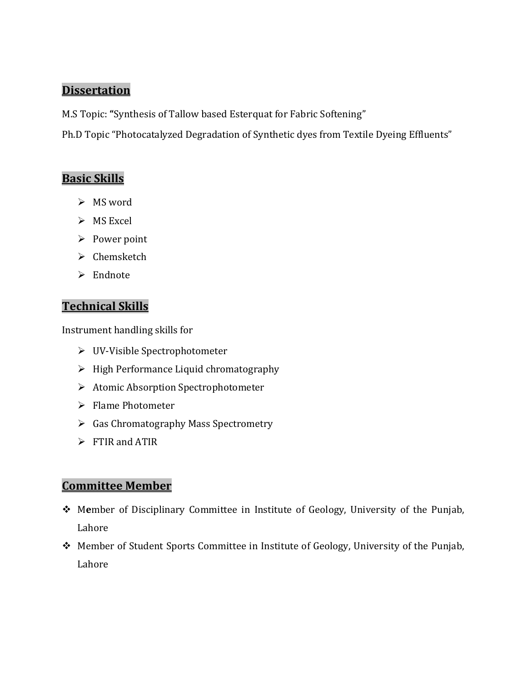#### **Dissertation**

M.S Topic: **"**Synthesis of Tallow based Esterquat for Fabric Softening"

Ph.D Topic "Photocatalyzed Degradation of Synthetic dyes from Textile Dyeing Effluents"

#### **Basic Skills**

- $>$  MS word
- $>$  MS Excel
- $\triangleright$  Power point
- $\triangleright$  Chemsketch
- $\triangleright$  Endnote

### **Technical Skills**

Instrument handling skills for

- UV-Visible Spectrophotometer
- $\triangleright$  High Performance Liquid chromatography
- > Atomic Absorption Spectrophotometer
- $\triangleright$  Flame Photometer
- $\triangleright$  Gas Chromatography Mass Spectrometry
- $\triangleright$  FTIR and ATIR

### **Committee Member**

- M**e**mber of Disciplinary Committee in Institute of Geology, University of the Punjab, Lahore
- Member of Student Sports Committee in Institute of Geology, University of the Punjab, Lahore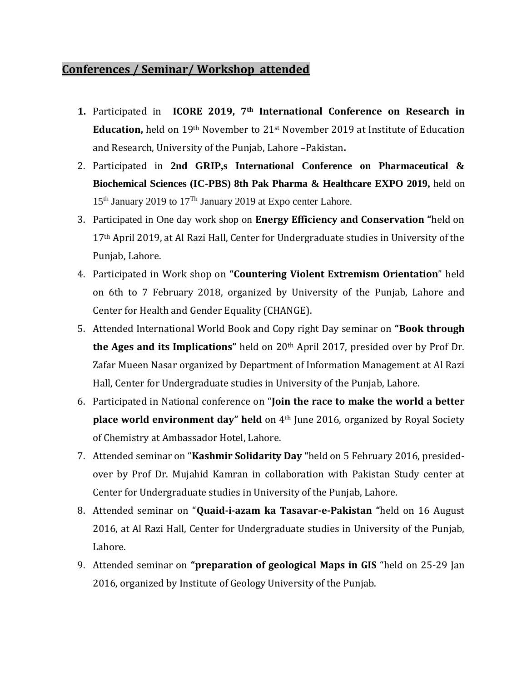#### **Conferences / Seminar/ Workshop attended**

- **1.** Participated in **ICORE 2019, 7th International Conference on Research in Education,** held on 19th November to 21st November 2019 at Institute of Education and Research, University of the Punjab, Lahore –Pakistan**.**
- 2. Participated in **2nd GRIP,s International Conference on Pharmaceutical & Biochemical Sciences (IC-PBS) 8th Pak Pharma & Healthcare EXPO 2019,** held on  $15<sup>th</sup>$  January 2019 to  $17<sup>Th</sup>$  January 2019 at Expo center Lahore.
- 3. Participated in One day work shop on **Energy Efficiency and Conservation "**held on 17<sup>th</sup> April 2019, at Al Razi Hall, Center for Undergraduate studies in University of the Punjab, Lahore.
- 4. Participated in Work shop on **"Countering Violent Extremism Orientation**" held on 6th to 7 February 2018, organized by University of the Punjab, Lahore and Center for Health and Gender Equality (CHANGE).
- 5. Attended International World Book and Copy right Day seminar on **"Book through the Ages and its Implications"** held on 20th April 2017, presided over by Prof Dr. Zafar Mueen Nasar organized by Department of Information Management at Al Razi Hall, Center for Undergraduate studies in University of the Punjab, Lahore.
- 6. Participated in National conference on "**Join the race to make the world a better place world environment day" held** on 4th June 2016, organized by Royal Society of Chemistry at Ambassador Hotel, Lahore.
- 7. Attended seminar on "**Kashmir Solidarity Day "**held on 5 February 2016, presidedover by Prof Dr. Mujahid Kamran in collaboration with Pakistan Study center at Center for Undergraduate studies in University of the Punjab, Lahore.
- 8. Attended seminar on "**Quaid-i-azam ka Tasavar-e-Pakistan "**held on 16 August 2016, at Al Razi Hall, Center for Undergraduate studies in University of the Punjab, Lahore.
- 9. Attended seminar on **"preparation of geological Maps in GIS** "held on 25-29 Jan 2016, organized by Institute of Geology University of the Punjab.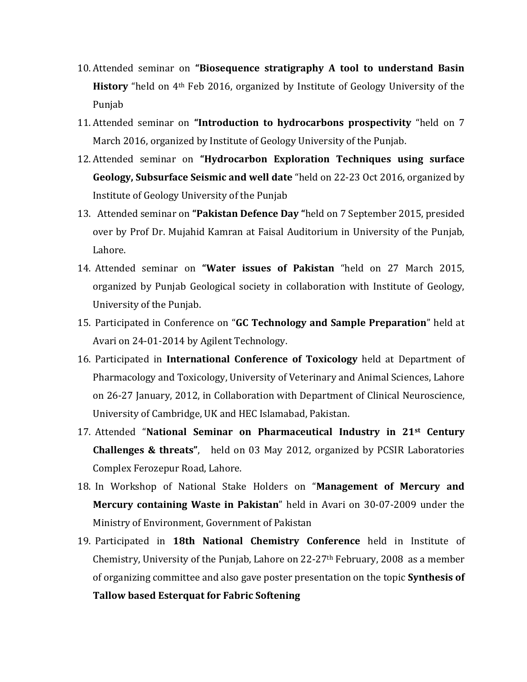- 10. Attended seminar on **"Biosequence stratigraphy A tool to understand Basin History** "held on 4th Feb 2016, organized by Institute of Geology University of the Punjab
- 11. Attended seminar on **"Introduction to hydrocarbons prospectivity** "held on 7 March 2016, organized by Institute of Geology University of the Punjab.
- 12. Attended seminar on **"Hydrocarbon Exploration Techniques using surface Geology, Subsurface Seismic and well date** "held on 22-23 Oct 2016, organized by Institute of Geology University of the Punjab
- 13. Attended seminar on **"Pakistan Defence Day "**held on 7 September 2015, presided over by Prof Dr. Mujahid Kamran at Faisal Auditorium in University of the Punjab, Lahore.
- 14. Attended seminar on **"Water issues of Pakistan** "held on 27 March 2015, organized by Punjab Geological society in collaboration with Institute of Geology, University of the Punjab.
- 15. Participated in Conference on "**GC Technology and Sample Preparation**" held at Avari on 24-01-2014 by Agilent Technology.
- 16. Participated in **International Conference of Toxicology** held at Department of Pharmacology and Toxicology, University of Veterinary and Animal Sciences, Lahore on 26-27 January, 2012, in Collaboration with Department of Clinical Neuroscience, University of Cambridge, UK and HEC Islamabad, Pakistan.
- 17. Attended "**National Seminar on Pharmaceutical Industry in 21st Century Challenges & threats"**, held on 03 May 2012, organized by PCSIR Laboratories Complex Ferozepur Road, Lahore.
- 18. In Workshop of National Stake Holders on "**Management of Mercury and Mercury containing Waste in Pakistan**" held in Avari on 30-07-2009 under the Ministry of Environment, Government of Pakistan
- 19. Participated in **18th National Chemistry Conference** held in Institute of Chemistry, University of the Punjab, Lahore on  $22-27$ <sup>th</sup> February, 2008 as a member of organizing committee and also gave poster presentation on the topic **Synthesis of Tallow based Esterquat for Fabric Softening**